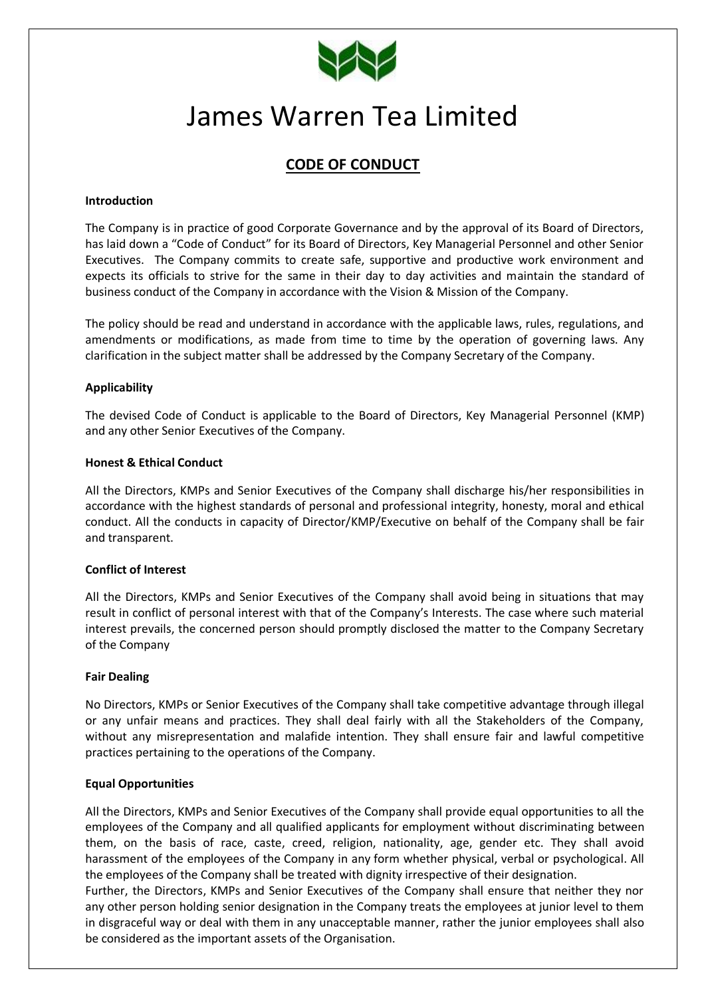

# James Warren Tea Limited

# **CODE OF CONDUCT**

#### **Introduction**

The Company is in practice of good Corporate Governance and by the approval of its Board of Directors, has laid down a "Code of Conduct" for its Board of Directors, Key Managerial Personnel and other Senior Executives. The Company commits to create safe, supportive and productive work environment and expects its officials to strive for the same in their day to day activities and maintain the standard of business conduct of the Company in accordance with the Vision & Mission of the Company.

The policy should be read and understand in accordance with the applicable laws, rules, regulations, and amendments or modifications, as made from time to time by the operation of governing laws. Any clarification in the subject matter shall be addressed by the Company Secretary of the Company.

# **Applicability**

The devised Code of Conduct is applicable to the Board of Directors, Key Managerial Personnel (KMP) and any other Senior Executives of the Company.

#### **Honest & Ethical Conduct**

All the Directors, KMPs and Senior Executives of the Company shall discharge his/her responsibilities in accordance with the highest standards of personal and professional integrity, honesty, moral and ethical conduct. All the conducts in capacity of Director/KMP/Executive on behalf of the Company shall be fair and transparent.

#### **Conflict of Interest**

All the Directors, KMPs and Senior Executives of the Company shall avoid being in situations that may result in conflict of personal interest with that of the Company's Interests. The case where such material interest prevails, the concerned person should promptly disclosed the matter to the Company Secretary of the Company

#### **Fair Dealing**

No Directors, KMPs or Senior Executives of the Company shall take competitive advantage through illegal or any unfair means and practices. They shall deal fairly with all the Stakeholders of the Company, without any misrepresentation and malafide intention. They shall ensure fair and lawful competitive practices pertaining to the operations of the Company.

#### **Equal Opportunities**

All the Directors, KMPs and Senior Executives of the Company shall provide equal opportunities to all the employees of the Company and all qualified applicants for employment without discriminating between them, on the basis of race, caste, creed, religion, nationality, age, gender etc. They shall avoid harassment of the employees of the Company in any form whether physical, verbal or psychological. All the employees of the Company shall be treated with dignity irrespective of their designation.

Further, the Directors, KMPs and Senior Executives of the Company shall ensure that neither they nor any other person holding senior designation in the Company treats the employees at junior level to them in disgraceful way or deal with them in any unacceptable manner, rather the junior employees shall also be considered as the important assets of the Organisation.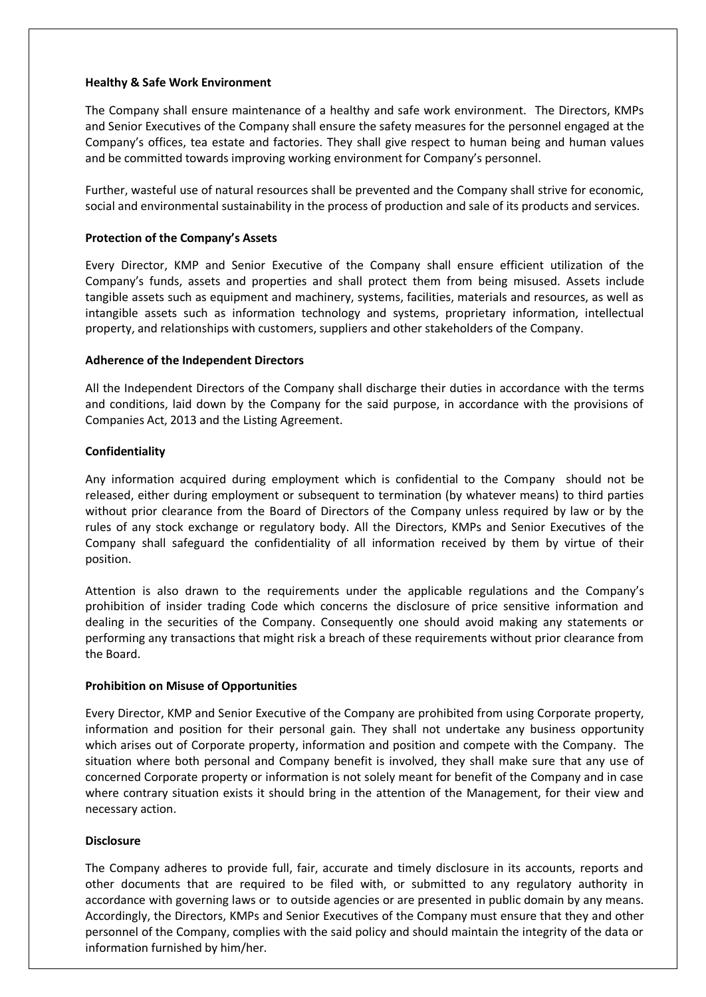#### **Healthy & Safe Work Environment**

The Company shall ensure maintenance of a healthy and safe work environment. The Directors, KMPs and Senior Executives of the Company shall ensure the safety measures for the personnel engaged at the Company's offices, tea estate and factories. They shall give respect to human being and human values and be committed towards improving working environment for Company's personnel.

Further, wasteful use of natural resources shall be prevented and the Company shall strive for economic, social and environmental sustainability in the process of production and sale of its products and services.

# **Protection of the Company's Assets**

Every Director, KMP and Senior Executive of the Company shall ensure efficient utilization of the Company's funds, assets and properties and shall protect them from being misused. Assets include tangible assets such as equipment and machinery, systems, facilities, materials and resources, as well as intangible assets such as information technology and systems, proprietary information, intellectual property, and relationships with customers, suppliers and other stakeholders of the Company.

#### **Adherence of the Independent Directors**

All the Independent Directors of the Company shall discharge their duties in accordance with the terms and conditions, laid down by the Company for the said purpose, in accordance with the provisions of Companies Act, 2013 and the Listing Agreement.

# **Confidentiality**

Any information acquired during employment which is confidential to the Company should not be released, either during employment or subsequent to termination (by whatever means) to third parties without prior clearance from the Board of Directors of the Company unless required by law or by the rules of any stock exchange or regulatory body. All the Directors, KMPs and Senior Executives of the Company shall safeguard the confidentiality of all information received by them by virtue of their position.

Attention is also drawn to the requirements under the applicable regulations and the Company's prohibition of insider trading Code which concerns the disclosure of price sensitive information and dealing in the securities of the Company. Consequently one should avoid making any statements or performing any transactions that might risk a breach of these requirements without prior clearance from the Board.

#### **Prohibition on Misuse of Opportunities**

Every Director, KMP and Senior Executive of the Company are prohibited from using Corporate property, information and position for their personal gain. They shall not undertake any business opportunity which arises out of Corporate property, information and position and compete with the Company. The situation where both personal and Company benefit is involved, they shall make sure that any use of concerned Corporate property or information is not solely meant for benefit of the Company and in case where contrary situation exists it should bring in the attention of the Management, for their view and necessary action.

#### **Disclosure**

The Company adheres to provide full, fair, accurate and timely disclosure in its accounts, reports and other documents that are required to be filed with, or submitted to any regulatory authority in accordance with governing laws or to outside agencies or are presented in public domain by any means. Accordingly, the Directors, KMPs and Senior Executives of the Company must ensure that they and other personnel of the Company, complies with the said policy and should maintain the integrity of the data or information furnished by him/her.